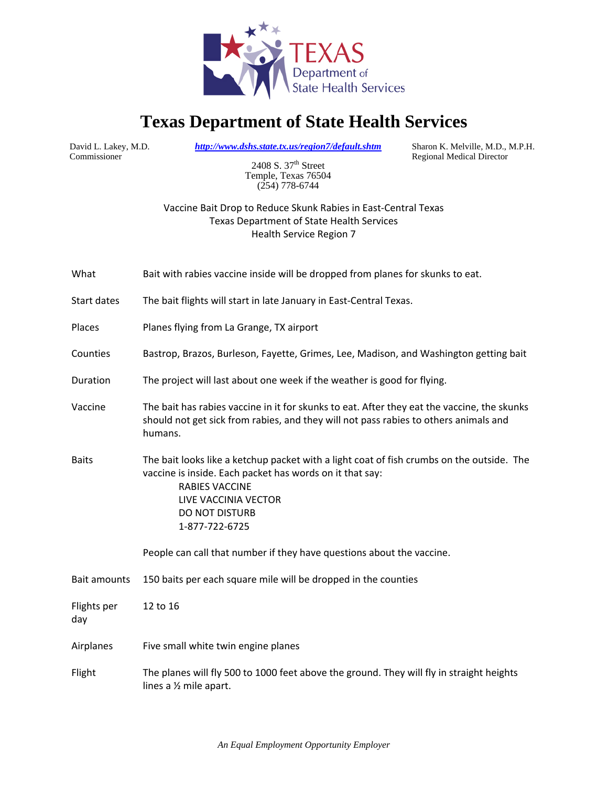

## **Texas Department of State Health Services**

Commissioner

David L. Lakey, M.D. *http://www.dshs.state.tx.us/region7/default.shtm* Sharon K. Melville, M.D., M.P.H.

Regional Medical Director

2408 S. 37<sup>th</sup> Street Temple, Texas 76504 (254) 778-6744

## Vaccine Bait Drop to Reduce Skunk Rabies in East‐Central Texas Texas Department of State Health Services Health Service Region 7

| What                | Bait with rabies vaccine inside will be dropped from planes for skunks to eat.                                                                                                                                                             |
|---------------------|--------------------------------------------------------------------------------------------------------------------------------------------------------------------------------------------------------------------------------------------|
| Start dates         | The bait flights will start in late January in East-Central Texas.                                                                                                                                                                         |
| Places              | Planes flying from La Grange, TX airport                                                                                                                                                                                                   |
| Counties            | Bastrop, Brazos, Burleson, Fayette, Grimes, Lee, Madison, and Washington getting bait                                                                                                                                                      |
| Duration            | The project will last about one week if the weather is good for flying.                                                                                                                                                                    |
| Vaccine             | The bait has rabies vaccine in it for skunks to eat. After they eat the vaccine, the skunks<br>should not get sick from rabies, and they will not pass rabies to others animals and<br>humans.                                             |
| <b>Baits</b>        | The bait looks like a ketchup packet with a light coat of fish crumbs on the outside. The<br>vaccine is inside. Each packet has words on it that say:<br><b>RABIES VACCINE</b><br>LIVE VACCINIA VECTOR<br>DO NOT DISTURB<br>1-877-722-6725 |
|                     | People can call that number if they have questions about the vaccine.                                                                                                                                                                      |
| <b>Bait amounts</b> | 150 baits per each square mile will be dropped in the counties                                                                                                                                                                             |
| Flights per<br>day  | 12 to 16                                                                                                                                                                                                                                   |
| Airplanes           | Five small white twin engine planes                                                                                                                                                                                                        |
| Flight              | The planes will fly 500 to 1000 feet above the ground. They will fly in straight heights<br>lines a 1/2 mile apart.                                                                                                                        |